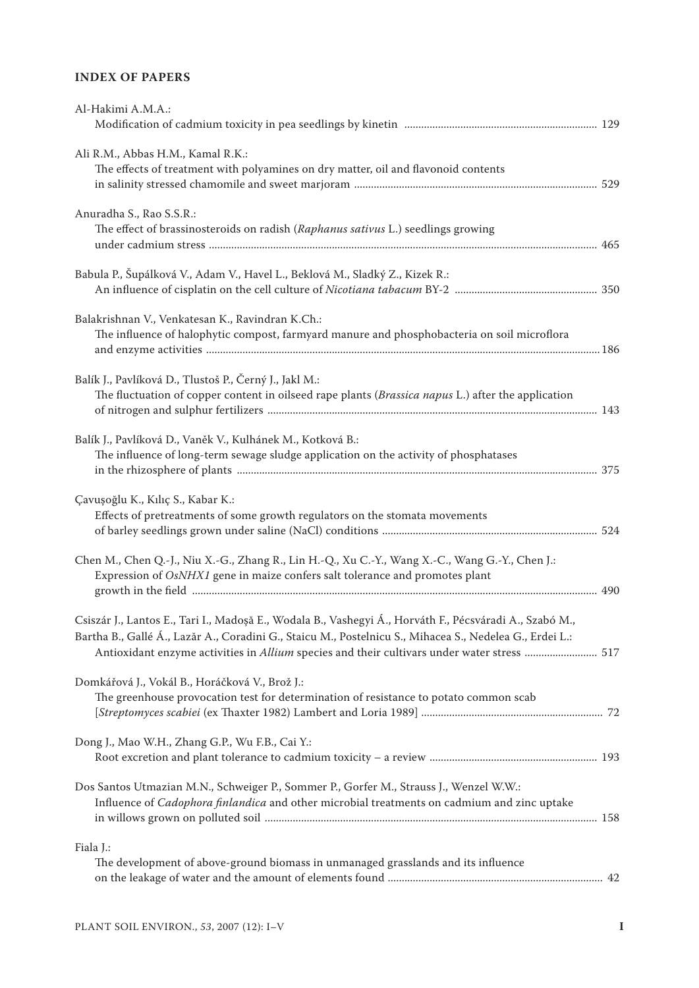## **INDEX OF PAPERS**

| Al-Hakimi A.M.A.:                                                                                                                                                                                                                                                                                                 |  |
|-------------------------------------------------------------------------------------------------------------------------------------------------------------------------------------------------------------------------------------------------------------------------------------------------------------------|--|
| Ali R.M., Abbas H.M., Kamal R.K.:<br>The effects of treatment with polyamines on dry matter, oil and flavonoid contents                                                                                                                                                                                           |  |
| Anuradha S., Rao S.S.R.:<br>The effect of brassinosteroids on radish (Raphanus sativus L.) seedlings growing                                                                                                                                                                                                      |  |
| Babula P., Šupálková V., Adam V., Havel L., Beklová M., Sladký Z., Kizek R.:                                                                                                                                                                                                                                      |  |
| Balakrishnan V., Venkatesan K., Ravindran K.Ch.:<br>The influence of halophytic compost, farmyard manure and phosphobacteria on soil microflora                                                                                                                                                                   |  |
| Balík J., Pavlíková D., Tlustoš P., Černý J., Jakl M.:<br>The fluctuation of copper content in oilseed rape plants (Brassica napus L.) after the application                                                                                                                                                      |  |
| Balík J., Pavlíková D., Vaněk V., Kulhánek M., Kotková B.:<br>The influence of long-term sewage sludge application on the activity of phosphatases                                                                                                                                                                |  |
| Çavuşoğlu K., Kılıç S., Kabar K.:<br>Effects of pretreatments of some growth regulators on the stomata movements                                                                                                                                                                                                  |  |
| Chen M., Chen Q.-J., Niu X.-G., Zhang R., Lin H.-Q., Xu C.-Y., Wang X.-C., Wang G.-Y., Chen J.:<br>Expression of OsNHX1 gene in maize confers salt tolerance and promotes plant                                                                                                                                   |  |
| Csiszár J., Lantos E., Tari I., Madoșă E., Wodala B., Vashegyi Á., Horváth F., Pécsváradi A., Szabó M.,<br>Bartha B., Gallé Á., Lazăr A., Coradini G., Staicu M., Postelnicu S., Mihacea S., Nedelea G., Erdei L.:<br>Antioxidant enzyme activities in Allium species and their cultivars under water stress  517 |  |
| Domkářová J., Vokál B., Horáčková V., Brož J.:<br>The greenhouse provocation test for determination of resistance to potato common scab                                                                                                                                                                           |  |
| Dong J., Mao W.H., Zhang G.P., Wu F.B., Cai Y.:                                                                                                                                                                                                                                                                   |  |
| Dos Santos Utmazian M.N., Schweiger P., Sommer P., Gorfer M., Strauss J., Wenzel W.W.:<br>Influence of Cadophora finlandica and other microbial treatments on cadmium and zinc uptake                                                                                                                             |  |
| Fiala J.:<br>The development of above-ground biomass in unmanaged grasslands and its influence                                                                                                                                                                                                                    |  |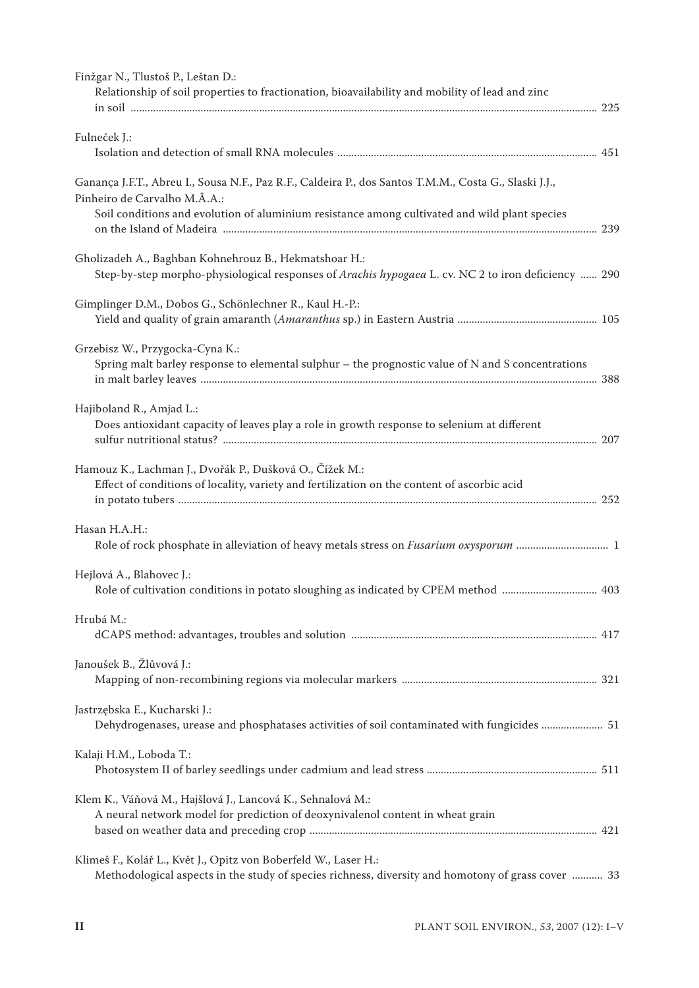| Finžgar N., Tlustoš P., Leštan D.:<br>Relationship of soil properties to fractionation, bioavailability and mobility of lead and zinc                                                                                                   |  |
|-----------------------------------------------------------------------------------------------------------------------------------------------------------------------------------------------------------------------------------------|--|
| Fulneček J.:                                                                                                                                                                                                                            |  |
| Ganança J.F.T., Abreu I., Sousa N.F., Paz R.F., Caldeira P., dos Santos T.M.M., Costa G., Slaski J.J.,<br>Pinheiro de Carvalho M.Â.A.:<br>Soil conditions and evolution of aluminium resistance among cultivated and wild plant species |  |
| Gholizadeh A., Baghban Kohnehrouz B., Hekmatshoar H.:<br>Step-by-step morpho-physiological responses of Arachis hypogaea L. cv. NC 2 to iron deficiency  290                                                                            |  |
| Gimplinger D.M., Dobos G., Schönlechner R., Kaul H.-P.:                                                                                                                                                                                 |  |
| Grzebisz W., Przygocka-Cyna K.:<br>Spring malt barley response to elemental sulphur $-$ the prognostic value of N and S concentrations                                                                                                  |  |
| Hajiboland R., Amjad L.:<br>Does antioxidant capacity of leaves play a role in growth response to selenium at different                                                                                                                 |  |
| Hamouz K., Lachman J., Dvořák P., Dušková O., Čížek M.:<br>Effect of conditions of locality, variety and fertilization on the content of ascorbic acid                                                                                  |  |
| Hasan H.A.H.:                                                                                                                                                                                                                           |  |
| Hejlová A., Blahovec J.:                                                                                                                                                                                                                |  |
| Hrubá M.:                                                                                                                                                                                                                               |  |
| Janoušek B., Žlůvová J.:                                                                                                                                                                                                                |  |
| Jastrzębska E., Kucharski J.:<br>Dehydrogenases, urease and phosphatases activities of soil contaminated with fungicides  51                                                                                                            |  |
| Kalaji H.M., Loboda T.:                                                                                                                                                                                                                 |  |
| Klem K., Váňová M., Hajšlová J., Lancová K., Sehnalová M.:<br>A neural network model for prediction of deoxynivalenol content in wheat grain                                                                                            |  |
| Klimeš F., Kolář L., Květ J., Opitz von Boberfeld W., Laser H.:<br>Methodological aspects in the study of species richness, diversity and homotony of grass cover  33                                                                   |  |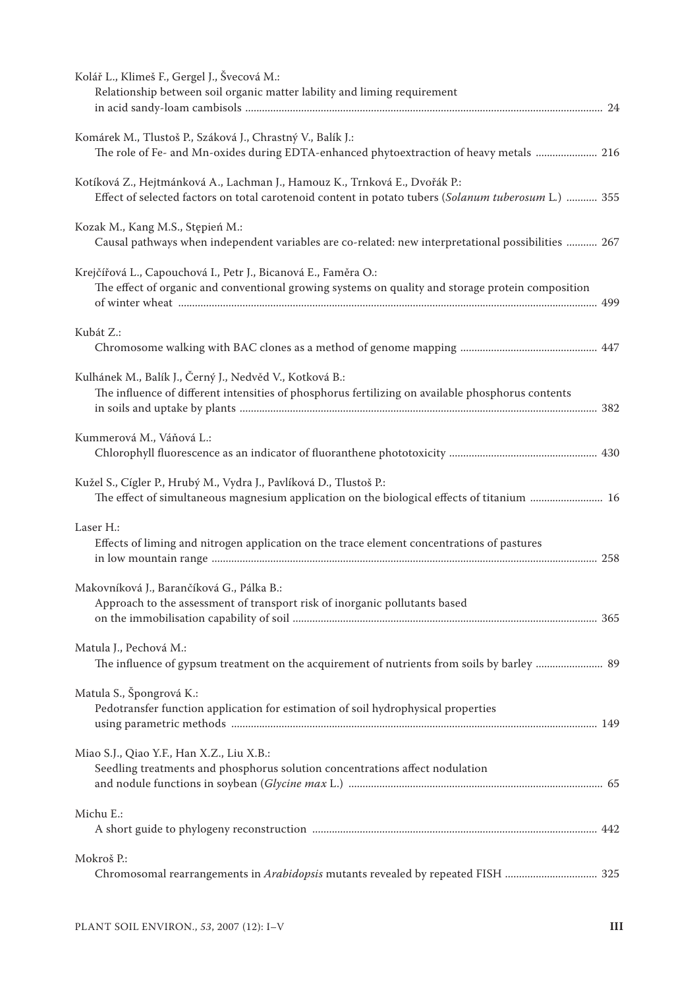| Kolář L., Klimeš F., Gergel J., Švecová M.:<br>Relationship between soil organic matter lability and liming requirement                                                           |
|-----------------------------------------------------------------------------------------------------------------------------------------------------------------------------------|
| Komárek M., Tlustoš P., Száková J., Chrastný V., Balík J.:<br>The role of Fe- and Mn-oxides during EDTA-enhanced phytoextraction of heavy metals  216                             |
| Kotíková Z., Hejtmánková A., Lachman J., Hamouz K., Trnková E., Dvořák P.:<br>Effect of selected factors on total carotenoid content in potato tubers (Solanum tuberosum L.)  355 |
| Kozak M., Kang M.S., Stępień M.:<br>Causal pathways when independent variables are co-related: new interpretational possibilities  267                                            |
| Krejčířová L., Capouchová I., Petr J., Bicanová E., Faměra O.:<br>The effect of organic and conventional growing systems on quality and storage protein composition               |
| Kubát Z.:                                                                                                                                                                         |
| Kulhánek M., Balík J., Černý J., Nedvěd V., Kotková B.:<br>The influence of different intensities of phosphorus fertilizing on available phosphorus contents                      |
| Kummerová M., Váňová L.:                                                                                                                                                          |
| Kužel S., Cígler P., Hrubý M., Vydra J., Pavlíková D., Tlustoš P.:<br>The effect of simultaneous magnesium application on the biological effects of titanium  16                  |
| Laser H.:<br>Effects of liming and nitrogen application on the trace element concentrations of pastures                                                                           |
| Makovníková J., Barančíková G., Pálka B.:<br>Approach to the assessment of transport risk of inorganic pollutants based                                                           |
| Matula J., Pechová M.:<br>The influence of gypsum treatment on the acquirement of nutrients from soils by barley  89                                                              |
| Matula S., Špongrová K.:<br>Pedotransfer function application for estimation of soil hydrophysical properties                                                                     |
| Miao S.J., Qiao Y.F., Han X.Z., Liu X.B.:<br>Seedling treatments and phosphorus solution concentrations affect nodulation                                                         |
| Michu E.:                                                                                                                                                                         |
| Mokroš P.:<br>Chromosomal rearrangements in Arabidopsis mutants revealed by repeated FISH  325                                                                                    |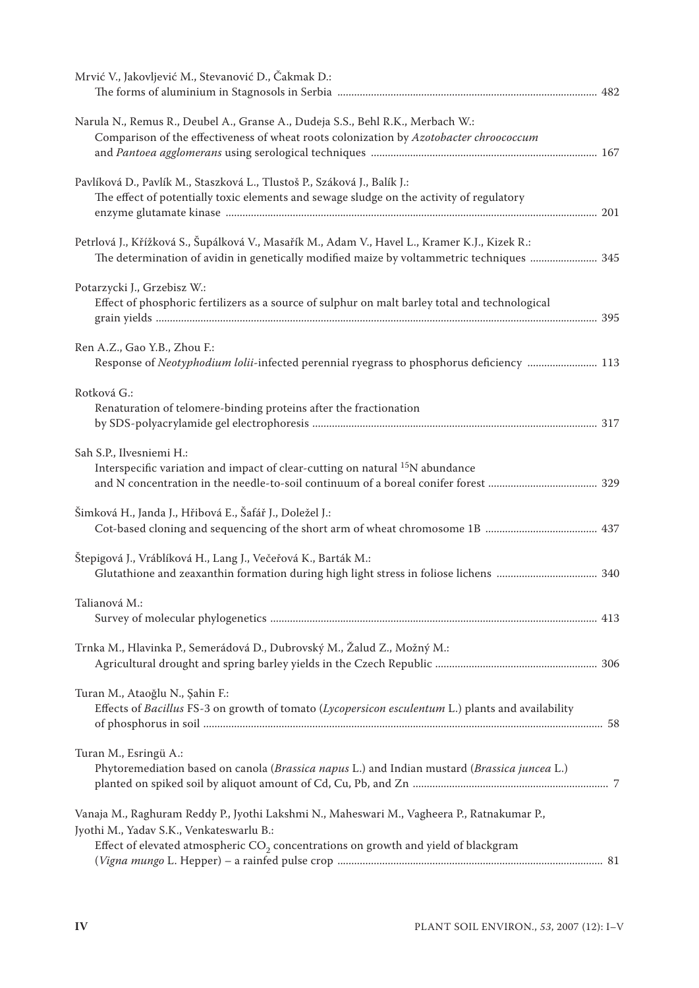| Mrvić V., Jakovljević M., Stevanović D., Čakmak D.:                                                                                                                                                                                      |  |
|------------------------------------------------------------------------------------------------------------------------------------------------------------------------------------------------------------------------------------------|--|
| Narula N., Remus R., Deubel A., Granse A., Dudeja S.S., Behl R.K., Merbach W.:<br>Comparison of the effectiveness of wheat roots colonization by Azotobacter chroococcum                                                                 |  |
| Pavlíková D., Pavlík M., Staszková L., Tlustoš P., Száková J., Balík J.:<br>The effect of potentially toxic elements and sewage sludge on the activity of regulatory                                                                     |  |
| Petrlová J., Křížková S., Šupálková V., Masařík M., Adam V., Havel L., Kramer K.J., Kizek R.:<br>The determination of avidin in genetically modified maize by voltammetric techniques  345                                               |  |
| Potarzycki J., Grzebisz W.:<br>Effect of phosphoric fertilizers as a source of sulphur on malt barley total and technological                                                                                                            |  |
| Ren A.Z., Gao Y.B., Zhou F.:<br>Response of Neotyphodium lolii-infected perennial ryegrass to phosphorus deficiency  113                                                                                                                 |  |
| Rotková G.:<br>Renaturation of telomere-binding proteins after the fractionation                                                                                                                                                         |  |
| Sah S.P., Ilvesniemi H.:<br>Interspecific variation and impact of clear-cutting on natural <sup>15</sup> N abundance                                                                                                                     |  |
| Šimková H., Janda J., Hřibová E., Šafář J., Doležel J.:                                                                                                                                                                                  |  |
| Štepigová J., Vráblíková H., Lang J., Večeřová K., Barták M.:                                                                                                                                                                            |  |
| Talianová M.:                                                                                                                                                                                                                            |  |
| Trnka M., Hlavinka P., Semerádová D., Dubrovský M., Žalud Z., Možný M.:                                                                                                                                                                  |  |
| Turan M., Ataoğlu N., Şahin F.:<br>Effects of Bacillus FS-3 on growth of tomato (Lycopersicon esculentum L.) plants and availability                                                                                                     |  |
| Turan M., Esringü A.:<br>Phytoremediation based on canola (Brassica napus L.) and Indian mustard (Brassica juncea L.)                                                                                                                    |  |
| Vanaja M., Raghuram Reddy P., Jyothi Lakshmi N., Maheswari M., Vagheera P., Ratnakumar P.,<br>Jyothi M., Yadav S.K., Venkateswarlu B.:<br>Effect of elevated atmospheric $\mathrm{CO}_2$ concentrations on growth and yield of blackgram |  |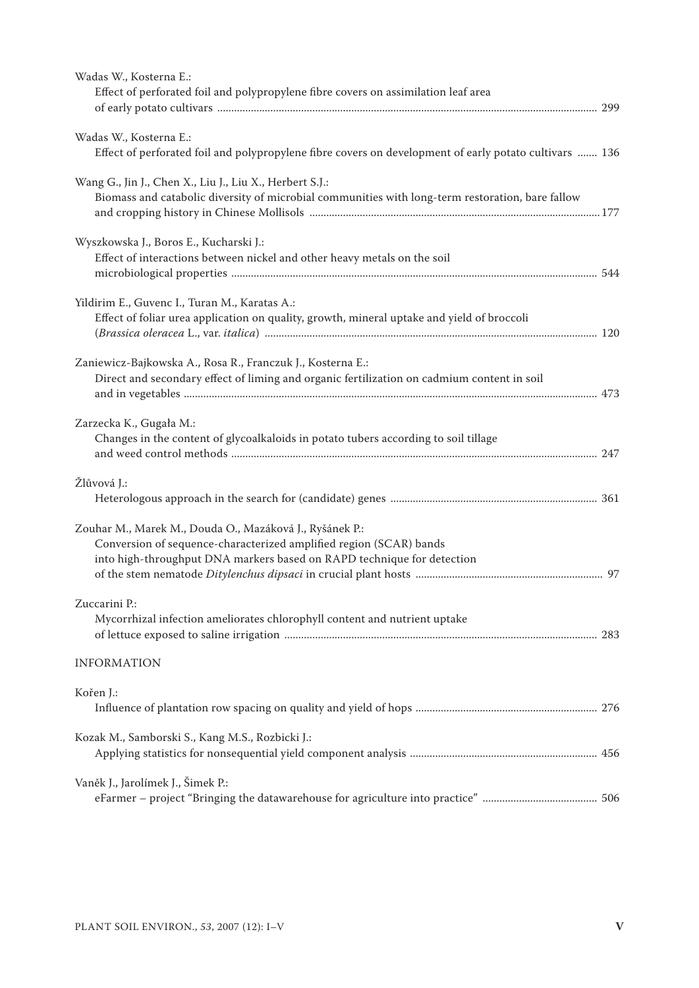| Wadas W., Kosterna E.:                                                                                                                                      |  |
|-------------------------------------------------------------------------------------------------------------------------------------------------------------|--|
| Effect of perforated foil and polypropylene fibre covers on assimilation leaf area                                                                          |  |
|                                                                                                                                                             |  |
| Wadas W., Kosterna E.:                                                                                                                                      |  |
| Effect of perforated foil and polypropylene fibre covers on development of early potato cultivars  136                                                      |  |
|                                                                                                                                                             |  |
| Wang G., Jin J., Chen X., Liu J., Liu X., Herbert S.J.:<br>Biomass and catabolic diversity of microbial communities with long-term restoration, bare fallow |  |
|                                                                                                                                                             |  |
|                                                                                                                                                             |  |
| Wyszkowska J., Boros E., Kucharski J.:                                                                                                                      |  |
| Effect of interactions between nickel and other heavy metals on the soil                                                                                    |  |
|                                                                                                                                                             |  |
| Yildirim E., Guvenc I., Turan M., Karatas A.:                                                                                                               |  |
| Effect of foliar urea application on quality, growth, mineral uptake and yield of broccoli                                                                  |  |
|                                                                                                                                                             |  |
| Zaniewicz-Bajkowska A., Rosa R., Franczuk J., Kosterna E.:                                                                                                  |  |
| Direct and secondary effect of liming and organic fertilization on cadmium content in soil                                                                  |  |
|                                                                                                                                                             |  |
| Zarzecka K., Gugała M.:                                                                                                                                     |  |
| Changes in the content of glycoalkaloids in potato tubers according to soil tillage                                                                         |  |
|                                                                                                                                                             |  |
| Žlůvová J.:                                                                                                                                                 |  |
|                                                                                                                                                             |  |
|                                                                                                                                                             |  |
| Zouhar M., Marek M., Douda O., Mazáková J., Ryšánek P.:<br>Conversion of sequence-characterized amplified region (SCAR) bands                               |  |
| into high-throughput DNA markers based on RAPD technique for detection                                                                                      |  |
|                                                                                                                                                             |  |
|                                                                                                                                                             |  |
| Zuccarini P.:<br>Mycorrhizal infection ameliorates chlorophyll content and nutrient uptake                                                                  |  |
|                                                                                                                                                             |  |
|                                                                                                                                                             |  |
| <b>INFORMATION</b>                                                                                                                                          |  |
| Kořen J.:                                                                                                                                                   |  |
|                                                                                                                                                             |  |
| Kozak M., Samborski S., Kang M.S., Rozbicki J.:                                                                                                             |  |
|                                                                                                                                                             |  |
|                                                                                                                                                             |  |
| Vaněk J., Jarolímek J., Šimek P.:                                                                                                                           |  |
|                                                                                                                                                             |  |